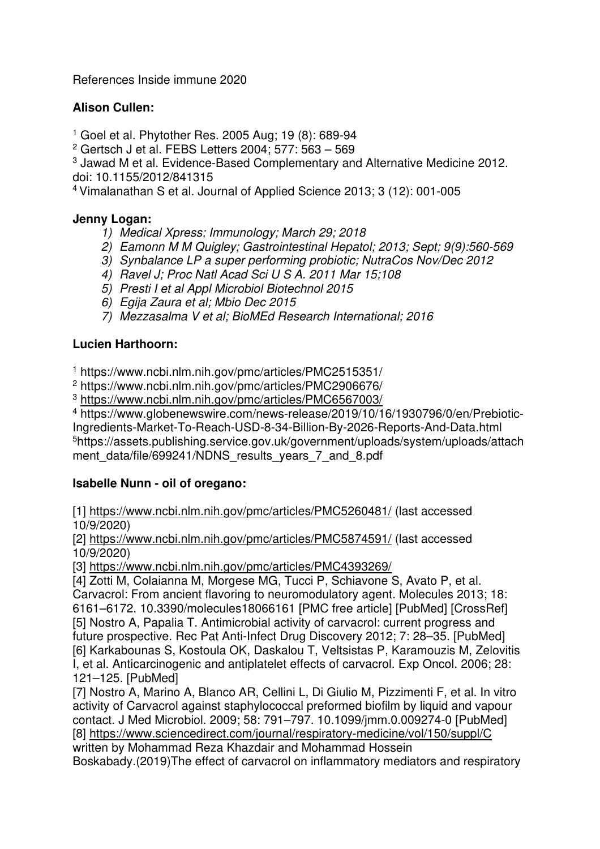References Inside immune 2020

# **Alison Cullen:**

1 Goel et al. Phytother Res. 2005 Aug; 19 (8): 689-94

2 Gertsch J et al. FEBS Letters 2004; 577: 563 – 569

<sup>3</sup> Jawad M et al. Evidence-Based Complementary and Alternative Medicine 2012. doi: 10.1155/2012/841315

<sup>4</sup>Vimalanathan S et al. Journal of Applied Science 2013; 3 (12): 001-005

### **Jenny Logan:**

- *1) Medical Xpress; Immunology; March 29; 2018*
- *2) Eamonn M M Quigley; Gastrointestinal Hepatol; 2013; Sept; 9(9):560-569*
- *3) Synbalance LP a super performing probiotic; NutraCos Nov/Dec 2012*
- *4) Ravel J; Proc Natl Acad Sci U S A. 2011 Mar 15;108*
- *5) Presti I et al Appl Microbiol Biotechnol 2015*
- *6) Egija Zaura et al; Mbio Dec 2015*
- *7) Mezzasalma V et al; BioMEd Research International; 2016*

## **Lucien Harthoorn:**

1 https://www.ncbi.nlm.nih.gov/pmc/articles/PMC2515351/

2 https://www.ncbi.nlm.nih.gov/pmc/articles/PMC2906676/

3 https://www.ncbi.nlm.nih.gov/pmc/articles/PMC6567003/

4 https://www.globenewswire.com/news-release/2019/10/16/1930796/0/en/Prebiotic-Ingredients-Market-To-Reach-USD-8-34-Billion-By-2026-Reports-And-Data.html <sup>5</sup>https://assets.publishing.service.gov.uk/government/uploads/system/uploads/attach ment\_data/file/699241/NDNS\_results\_years\_7\_and\_8.pdf

## **Isabelle Nunn - oil of oregano:**

[1] https://www.ncbi.nlm.nih.gov/pmc/articles/PMC5260481/ (last accessed 10/9/2020)

[2] https://www.ncbi.nlm.nih.gov/pmc/articles/PMC5874591/ (last accessed 10/9/2020)

[3] https://www.ncbi.nlm.nih.gov/pmc/articles/PMC4393269/

[4] Zotti M, Colaianna M, Morgese MG, Tucci P, Schiavone S, Avato P, et al. Carvacrol: From ancient flavoring to neuromodulatory agent. Molecules 2013; 18: 6161–6172. 10.3390/molecules18066161 [PMC free article] [PubMed] [CrossRef] [5] Nostro A, Papalia T. Antimicrobial activity of carvacrol: current progress and future prospective. Rec Pat Anti-Infect Drug Discovery 2012; 7: 28–35. [PubMed] [6] Karkabounas S, Kostoula OK, Daskalou T, Veltsistas P, Karamouzis M, Zelovitis I, et al. Anticarcinogenic and antiplatelet effects of carvacrol. Exp Oncol. 2006; 28: 121–125. [PubMed]

[7] Nostro A, Marino A, Blanco AR, Cellini L, Di Giulio M, Pizzimenti F, et al. In vitro activity of Carvacrol against staphylococcal preformed biofilm by liquid and vapour contact. J Med Microbiol. 2009; 58: 791–797. 10.1099/jmm.0.009274-0 [PubMed] [8] https://www.sciencedirect.com/journal/respiratory-medicine/vol/150/suppl/C written by Mohammad Reza Khazdair and Mohammad Hossein Boskabady.(2019)The effect of carvacrol on inflammatory mediators and respiratory